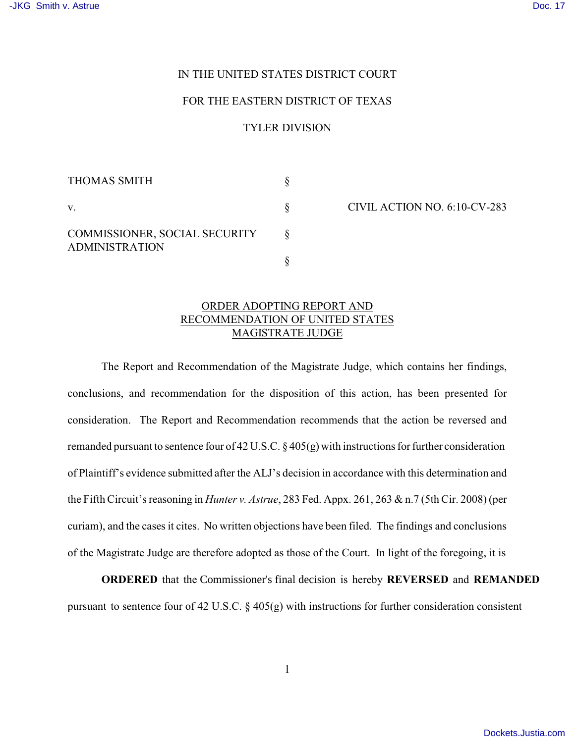## IN THE UNITED STATES DISTRICT COURT

## FOR THE EASTERN DISTRICT OF TEXAS

## TYLER DIVISION

| <b>THOMAS SMITH</b>                                    |  |
|--------------------------------------------------------|--|
| $V_{\cdot}$                                            |  |
| COMMISSIONER, SOCIAL SECURITY<br><b>ADMINISTRATION</b> |  |
|                                                        |  |

CIVIL ACTION NO. 6:10-CV-283

## ORDER ADOPTING REPORT AND RECOMMENDATION OF UNITED STATES MAGISTRATE JUDGE

The Report and Recommendation of the Magistrate Judge, which contains her findings, conclusions, and recommendation for the disposition of this action, has been presented for consideration. The Report and Recommendation recommends that the action be reversed and remanded pursuant to sentence four of 42 U.S.C. § 405(g) with instructions for further consideration of Plaintiff's evidence submitted after the ALJ's decision in accordance with this determination and the Fifth Circuit's reasoning in *Hunter v. Astrue*, 283 Fed. Appx. 261, 263 & n.7 (5th Cir. 2008) (per curiam), and the cases it cites. No written objections have been filed. The findings and conclusions of the Magistrate Judge are therefore adopted as those of the Court. In light of the foregoing, it is

**ORDERED** that the Commissioner's final decision is hereby **REVERSED** and **REMANDED** pursuant to sentence four of 42 U.S.C. § 405(g) with instructions for further consideration consistent